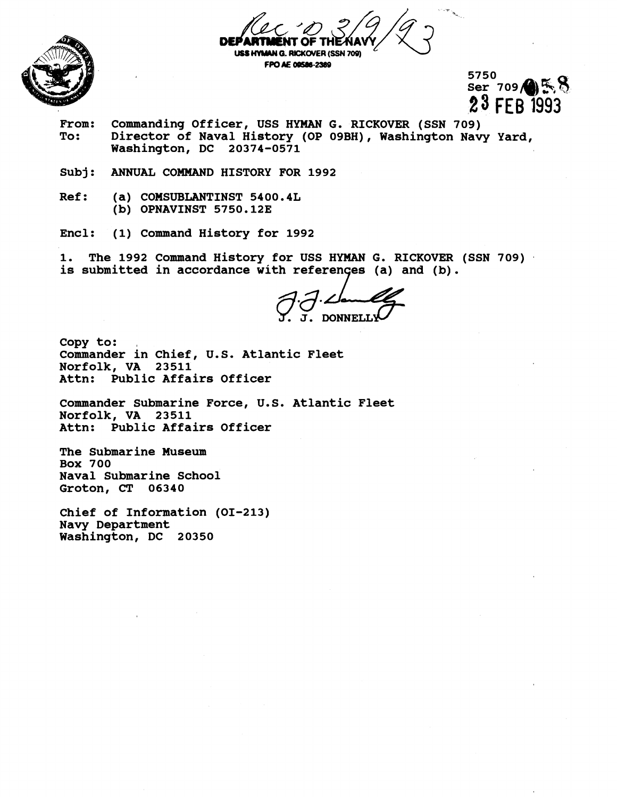

**USS HYMAN G. RICKOVER (SSN 709)** 

**FPO AE 00586-2389** 

5750  $Ser$  709  $\bigoplus$   $\mathbb{R}$ 23 FEB 1993

- From: Commanding Officer, USS HYMAN G. RICKOVER (SSN 709)<br>To: Director of Naval History (OP 09BH), Washington Nav Director of Naval History (OP 09BH), Washington Navy Yard, **Washington, DC 20374-0571**
- **Subj: ANNUAL COMMAND HISTORY POR 1992**
- **Ref: (a) COMSUBLANTINST 5400.4L (b) OPNAVINST 5750.123**
- **Encl: (1) Command History for 1992**

**1. The 1992 Command History for USS HYMAN G. RICKOVER (SSN 709)**  is submitted in accordance with references (a) and (b).

**Copy to: Commander in Chief, U.S. Atlantic Fleet Norfolk, VA 23511 Attn: Public Affairs Officer** 

**Commander Submarine Force, U.S. Atlantic Fleet Norfolk, VA 23511 Attn: Public Affairs Officer** 

**The Submarine Museum Box 700 Naval Submarine School Groton, CT 06340** 

**Chief of Information (01-213) Navy Department Washington, DC 20350**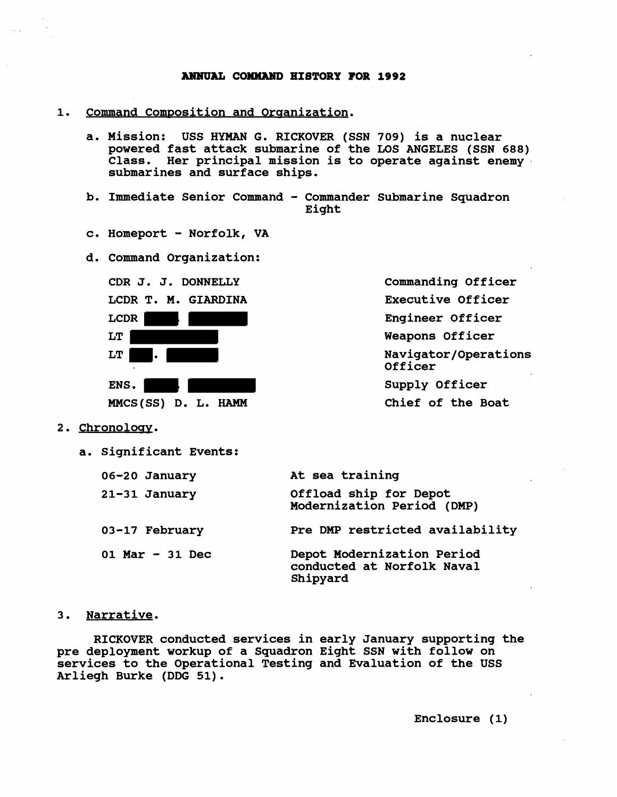## **ANNUAL COMXAUD HIBTORY FOR 1992**

- 1. Command Composition and Organization.
	- a. Mission: USS HYMAN G. RICKOVER (SSN 709) is a nuclear **powered fast attack submarine of the LOS ANGELES (SSN 688) Class. Her principal mission is to operate against enemy submarines and surface ships.**
	- **b. Immediate Senior Command Commander Submarine Squadron Eight**
	- **c. Homeport Norfolk, VA**
	- **Command Organization:**



**Commanding Officer Executive Officer Engineer Officer Weapons Officer Navigator/Operations Officer Supply Officer Chief of the Boat** 

- **2. Chronoloav.** 
	- **a. Significant Events:**

| 06-20 January     | At sea training                                                      |
|-------------------|----------------------------------------------------------------------|
| 21-31 January     | Offload ship for Depot<br>Modernization Period (DMP)                 |
| 03-17 February    | Pre DMP restricted availability                                      |
| 01 Mar $-$ 31 Dec | Depot Modernization Period<br>conducted at Norfolk Naval<br>Shipyard |

## **3. Narrative.**

**RICKOVER conducted services in early January supporting the pre deployment workup of a Squadron Eight SSN with follow on services to the Operational Testing and Evaluation of the USS Arliegh Burke (DDG 51).** 

**Enclosure (1)**